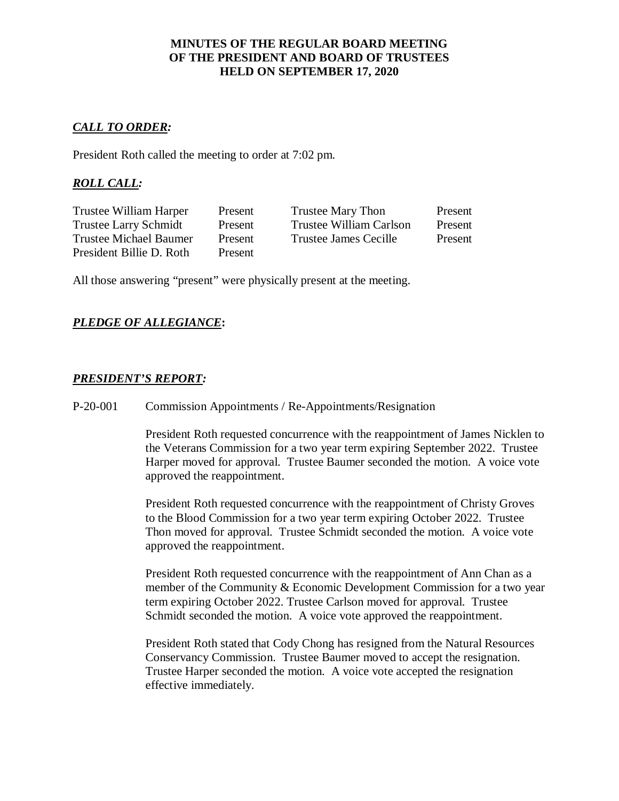### **MINUTES OF THE REGULAR BOARD MEETING OF THE PRESIDENT AND BOARD OF TRUSTEES HELD ON SEPTEMBER 17, 2020**

### *CALL TO ORDER:*

President Roth called the meeting to order at 7:02 pm.

## *ROLL CALL:*

| Trustee William Harper       | Present | Trustee Mary Thon       | Present |
|------------------------------|---------|-------------------------|---------|
| <b>Trustee Larry Schmidt</b> | Present | Trustee William Carlson | Present |
| Trustee Michael Baumer       | Present | Trustee James Cecille   | Present |
| President Billie D. Roth     | Present |                         |         |

All those answering "present" were physically present at the meeting.

### *PLEDGE OF ALLEGIANCE***:**

### *PRESIDENT'S REPORT:*

P-20-001 Commission Appointments / Re-Appointments/Resignation

President Roth requested concurrence with the reappointment of James Nicklen to the Veterans Commission for a two year term expiring September 2022. Trustee Harper moved for approval. Trustee Baumer seconded the motion. A voice vote approved the reappointment.

President Roth requested concurrence with the reappointment of Christy Groves to the Blood Commission for a two year term expiring October 2022. Trustee Thon moved for approval. Trustee Schmidt seconded the motion. A voice vote approved the reappointment.

President Roth requested concurrence with the reappointment of Ann Chan as a member of the Community & Economic Development Commission for a two year term expiring October 2022. Trustee Carlson moved for approval. Trustee Schmidt seconded the motion. A voice vote approved the reappointment.

President Roth stated that Cody Chong has resigned from the Natural Resources Conservancy Commission. Trustee Baumer moved to accept the resignation. Trustee Harper seconded the motion. A voice vote accepted the resignation effective immediately.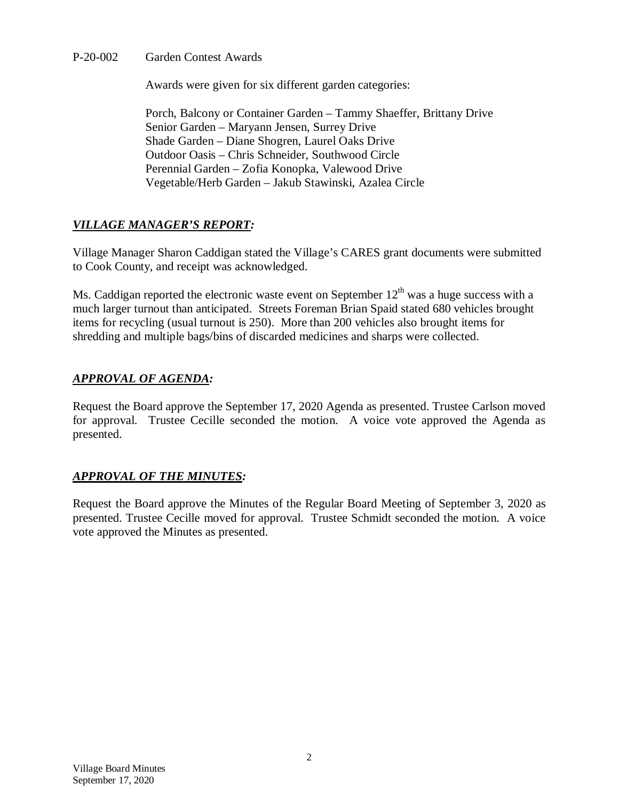P-20-002 Garden Contest Awards

Awards were given for six different garden categories:

Porch, Balcony or Container Garden – Tammy Shaeffer, Brittany Drive Senior Garden – Maryann Jensen, Surrey Drive Shade Garden – Diane Shogren, Laurel Oaks Drive Outdoor Oasis – Chris Schneider, Southwood Circle Perennial Garden – Zofia Konopka, Valewood Drive Vegetable/Herb Garden – Jakub Stawinski, Azalea Circle

# *VILLAGE MANAGER'S REPORT:*

Village Manager Sharon Caddigan stated the Village's CARES grant documents were submitted to Cook County, and receipt was acknowledged.

Ms. Caddigan reported the electronic waste event on September  $12<sup>th</sup>$  was a huge success with a much larger turnout than anticipated. Streets Foreman Brian Spaid stated 680 vehicles brought items for recycling (usual turnout is 250). More than 200 vehicles also brought items for shredding and multiple bags/bins of discarded medicines and sharps were collected.

# *APPROVAL OF AGENDA:*

Request the Board approve the September 17, 2020 Agenda as presented. Trustee Carlson moved for approval. Trustee Cecille seconded the motion. A voice vote approved the Agenda as presented.

## *APPROVAL OF THE MINUTES:*

Request the Board approve the Minutes of the Regular Board Meeting of September 3, 2020 as presented. Trustee Cecille moved for approval. Trustee Schmidt seconded the motion. A voice vote approved the Minutes as presented.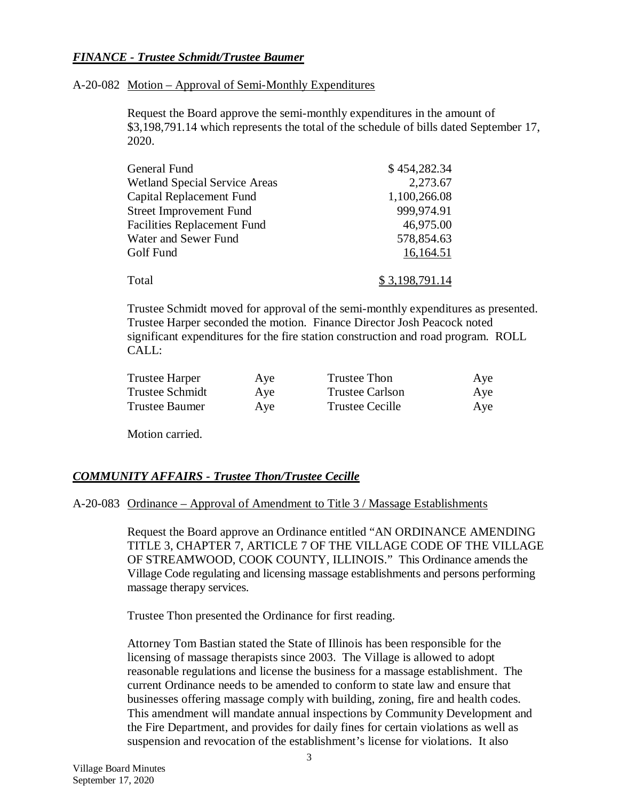### *FINANCE - Trustee Schmidt/Trustee Baumer*

### A-20-082 Motion – Approval of Semi-Monthly Expenditures

Request the Board approve the semi-monthly expenditures in the amount of \$3,198,791.14 which represents the total of the schedule of bills dated September 17, 2020.

| General Fund                         | \$454,282.34   |
|--------------------------------------|----------------|
| <b>Wetland Special Service Areas</b> | 2,273.67       |
| Capital Replacement Fund             | 1,100,266.08   |
| <b>Street Improvement Fund</b>       | 999,974.91     |
| <b>Facilities Replacement Fund</b>   | 46,975.00      |
| Water and Sewer Fund                 | 578,854.63     |
| Golf Fund                            | 16,164.51      |
| Total                                | \$3,198,791.14 |
|                                      |                |

Trustee Schmidt moved for approval of the semi-monthly expenditures as presented. Trustee Harper seconded the motion. Finance Director Josh Peacock noted significant expenditures for the fire station construction and road program. ROLL CALL:

| Trustee Harper  | Aye | Trustee Thon           | Aye |
|-----------------|-----|------------------------|-----|
| Trustee Schmidt | Aye | <b>Trustee Carlson</b> | Aye |
| Trustee Baumer  | Aye | Trustee Cecille        | Aye |

Motion carried.

## *COMMUNITY AFFAIRS - Trustee Thon/Trustee Cecille*

### A-20-083 Ordinance – Approval of Amendment to Title 3 / Massage Establishments

Request the Board approve an Ordinance entitled "AN ORDINANCE AMENDING TITLE 3, CHAPTER 7, ARTICLE 7 OF THE VILLAGE CODE OF THE VILLAGE OF STREAMWOOD, COOK COUNTY, ILLINOIS." This Ordinance amends the Village Code regulating and licensing massage establishments and persons performing massage therapy services.

Trustee Thon presented the Ordinance for first reading.

Attorney Tom Bastian stated the State of Illinois has been responsible for the licensing of massage therapists since 2003. The Village is allowed to adopt reasonable regulations and license the business for a massage establishment. The current Ordinance needs to be amended to conform to state law and ensure that businesses offering massage comply with building, zoning, fire and health codes. This amendment will mandate annual inspections by Community Development and the Fire Department, and provides for daily fines for certain violations as well as suspension and revocation of the establishment's license for violations. It also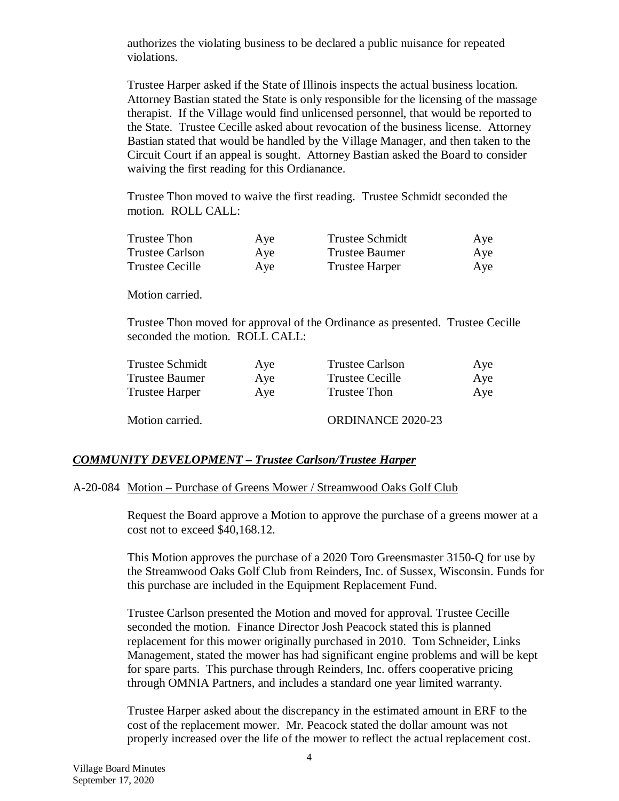authorizes the violating business to be declared a public nuisance for repeated violations.

Trustee Harper asked if the State of Illinois inspects the actual business location. Attorney Bastian stated the State is only responsible for the licensing of the massage therapist. If the Village would find unlicensed personnel, that would be reported to the State. Trustee Cecille asked about revocation of the business license. Attorney Bastian stated that would be handled by the Village Manager, and then taken to the Circuit Court if an appeal is sought. Attorney Bastian asked the Board to consider waiving the first reading for this Ordianance.

Trustee Thon moved to waive the first reading. Trustee Schmidt seconded the motion. ROLL CALL:

| <b>Trustee Thon</b>    | Aye | <b>Trustee Schmidt</b> | Aye |
|------------------------|-----|------------------------|-----|
| <b>Trustee Carlson</b> | Aye | <b>Trustee Baumer</b>  | Aye |
| <b>Trustee Cecille</b> | Aye | <b>Trustee Harper</b>  | Aye |

Motion carried.

Trustee Thon moved for approval of the Ordinance as presented. Trustee Cecille seconded the motion. ROLL CALL:

| Trustee Schmidt       | Aye | <b>Trustee Carlson</b>   | Aye |
|-----------------------|-----|--------------------------|-----|
| <b>Trustee Baumer</b> | Aye | <b>Trustee Cecille</b>   | Aye |
| <b>Trustee Harper</b> | Aye | Trustee Thon             | Aye |
| Motion carried.       |     | <b>ORDINANCE 2020-23</b> |     |

## *COMMUNITY DEVELOPMENT – Trustee Carlson/Trustee Harper*

### A-20-084 Motion – Purchase of Greens Mower / Streamwood Oaks Golf Club

Request the Board approve a Motion to approve the purchase of a greens mower at a cost not to exceed \$40,168.12.

This Motion approves the purchase of a 2020 Toro Greensmaster 3150-Q for use by the Streamwood Oaks Golf Club from Reinders, Inc. of Sussex, Wisconsin. Funds for this purchase are included in the Equipment Replacement Fund.

Trustee Carlson presented the Motion and moved for approval. Trustee Cecille seconded the motion. Finance Director Josh Peacock stated this is planned replacement for this mower originally purchased in 2010. Tom Schneider, Links Management, stated the mower has had significant engine problems and will be kept for spare parts. This purchase through Reinders, Inc. offers cooperative pricing through OMNIA Partners, and includes a standard one year limited warranty.

Trustee Harper asked about the discrepancy in the estimated amount in ERF to the cost of the replacement mower. Mr. Peacock stated the dollar amount was not properly increased over the life of the mower to reflect the actual replacement cost.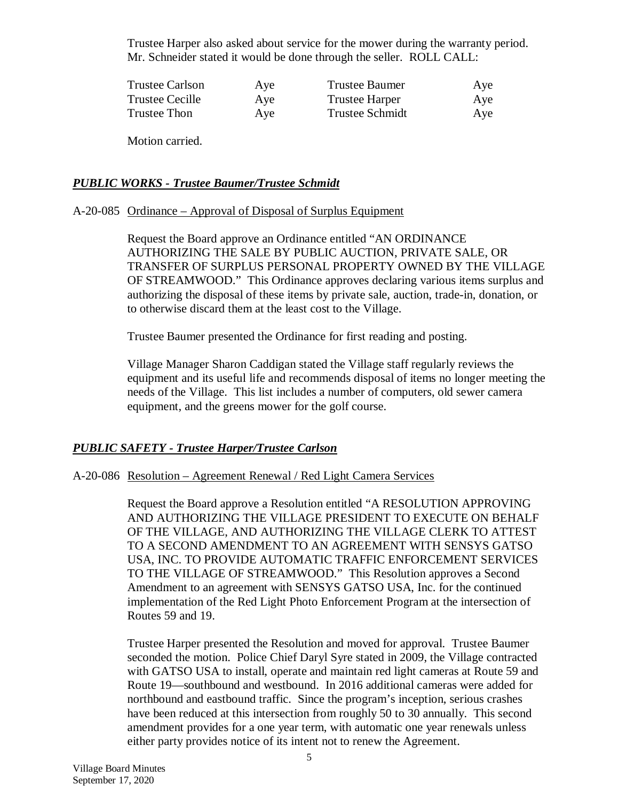Trustee Harper also asked about service for the mower during the warranty period. Mr. Schneider stated it would be done through the seller. ROLL CALL:

| Trustee Carlson | Aye | Trustee Baumer         | Aye |
|-----------------|-----|------------------------|-----|
| Trustee Cecille | Aye | <b>Trustee Harper</b>  | Aye |
| Trustee Thon    | Aye | <b>Trustee Schmidt</b> | Aye |

Motion carried.

### *PUBLIC WORKS - Trustee Baumer/Trustee Schmidt*

### A-20-085 Ordinance – Approval of Disposal of Surplus Equipment

Request the Board approve an Ordinance entitled "AN ORDINANCE AUTHORIZING THE SALE BY PUBLIC AUCTION, PRIVATE SALE, OR TRANSFER OF SURPLUS PERSONAL PROPERTY OWNED BY THE VILLAGE OF STREAMWOOD." This Ordinance approves declaring various items surplus and authorizing the disposal of these items by private sale, auction, trade-in, donation, or to otherwise discard them at the least cost to the Village.

Trustee Baumer presented the Ordinance for first reading and posting.

Village Manager Sharon Caddigan stated the Village staff regularly reviews the equipment and its useful life and recommends disposal of items no longer meeting the needs of the Village. This list includes a number of computers, old sewer camera equipment, and the greens mower for the golf course.

## *PUBLIC SAFETY - Trustee Harper/Trustee Carlson*

### A-20-086 Resolution – Agreement Renewal / Red Light Camera Services

Request the Board approve a Resolution entitled "A RESOLUTION APPROVING AND AUTHORIZING THE VILLAGE PRESIDENT TO EXECUTE ON BEHALF OF THE VILLAGE, AND AUTHORIZING THE VILLAGE CLERK TO ATTEST TO A SECOND AMENDMENT TO AN AGREEMENT WITH SENSYS GATSO USA, INC. TO PROVIDE AUTOMATIC TRAFFIC ENFORCEMENT SERVICES TO THE VILLAGE OF STREAMWOOD." This Resolution approves a Second Amendment to an agreement with SENSYS GATSO USA, Inc. for the continued implementation of the Red Light Photo Enforcement Program at the intersection of Routes 59 and 19.

Trustee Harper presented the Resolution and moved for approval. Trustee Baumer seconded the motion. Police Chief Daryl Syre stated in 2009, the Village contracted with GATSO USA to install, operate and maintain red light cameras at Route 59 and Route 19—southbound and westbound. In 2016 additional cameras were added for northbound and eastbound traffic. Since the program's inception, serious crashes have been reduced at this intersection from roughly 50 to 30 annually. This second amendment provides for a one year term, with automatic one year renewals unless either party provides notice of its intent not to renew the Agreement.